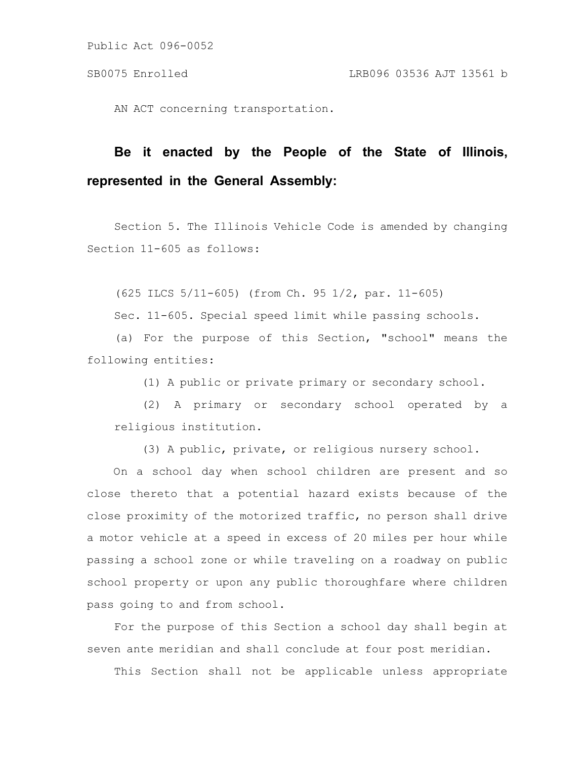Public Act 096-0052

AN ACT concerning transportation.

## **Be it enacted by the People of the State of Illinois, represented in the General Assembly:**

Section 5. The Illinois Vehicle Code is amended by changing Section 11-605 as follows:

(625 ILCS 5/11-605) (from Ch. 95 1/2, par. 11-605)

Sec. 11-605. Special speed limit while passing schools.

(a) For the purpose of this Section, "school" means the following entities:

(1) A public or private primary or secondary school.

(2) A primary or secondary school operated by a religious institution.

(3) A public, private, or religious nursery school.

On a school day when school children are present and so close thereto that a potential hazard exists because of the close proximity of the motorized traffic, no person shall drive a motor vehicle at a speed in excess of 20 miles per hour while passing a school zone or while traveling on a roadway on public school property or upon any public thoroughfare where children pass going to and from school.

For the purpose of this Section a school day shall begin at seven ante meridian and shall conclude at four post meridian.

This Section shall not be applicable unless appropriate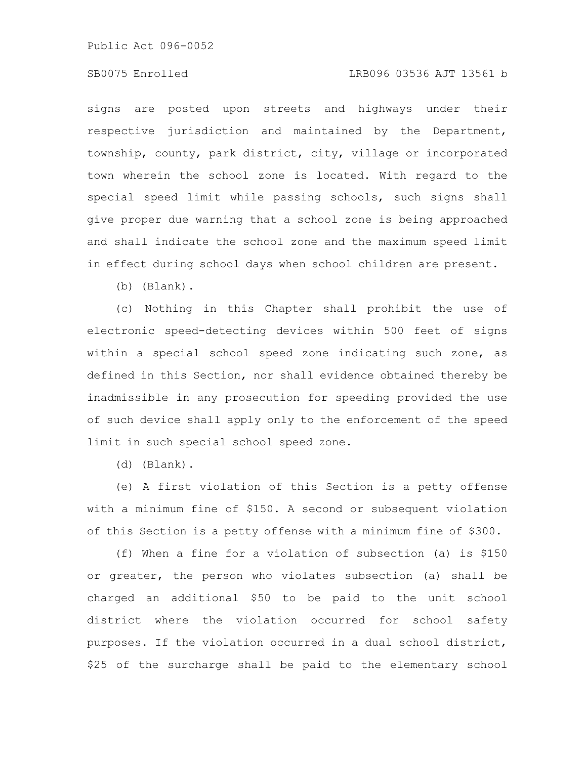Public Act 096-0052

## SB0075 Enrolled LRB096 03536 AJT 13561 b

signs are posted upon streets and highways under their respective jurisdiction and maintained by the Department, township, county, park district, city, village or incorporated town wherein the school zone is located. With regard to the special speed limit while passing schools, such signs shall give proper due warning that a school zone is being approached and shall indicate the school zone and the maximum speed limit in effect during school days when school children are present.

(b) (Blank).

(c) Nothing in this Chapter shall prohibit the use of electronic speed-detecting devices within 500 feet of signs within a special school speed zone indicating such zone, as defined in this Section, nor shall evidence obtained thereby be inadmissible in any prosecution for speeding provided the use of such device shall apply only to the enforcement of the speed limit in such special school speed zone.

(d) (Blank).

(e) A first violation of this Section is a petty offense with a minimum fine of \$150. A second or subsequent violation of this Section is a petty offense with a minimum fine of \$300.

(f) When a fine for a violation of subsection (a) is \$150 or greater, the person who violates subsection (a) shall be charged an additional \$50 to be paid to the unit school district where the violation occurred for school safety purposes. If the violation occurred in a dual school district, \$25 of the surcharge shall be paid to the elementary school